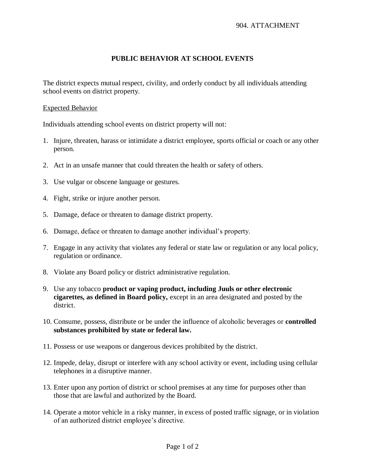## **PUBLIC BEHAVIOR AT SCHOOL EVENTS**

The district expects mutual respect, civility, and orderly conduct by all individuals attending school events on district property.

## Expected Behavior

Individuals attending school events on district property will not:

- 1. Injure, threaten, harass or intimidate a district employee, sports official or coach or any other person.
- 2. Act in an unsafe manner that could threaten the health or safety of others.
- 3. Use vulgar or obscene language or gestures.
- 4. Fight, strike or injure another person.
- 5. Damage, deface or threaten to damage district property.
- 6. Damage, deface or threaten to damage another individual's property.
- 7. Engage in any activity that violates any federal or state law or regulation or any local policy, regulation or ordinance.
- 8. Violate any Board policy or district administrative regulation.
- 9. Use any tobacco **product or vaping product, including Juuls or other electronic cigarettes, as defined in Board policy,** except in an area designated and posted by the district.
- 10. Consume, possess, distribute or be under the influence of alcoholic beverages or **controlled substances prohibited by state or federal law.**
- 11. Possess or use weapons or dangerous devices prohibited by the district.
- 12. Impede, delay, disrupt or interfere with any school activity or event, including using cellular telephones in a disruptive manner.
- 13. Enter upon any portion of district or school premises at any time for purposes other than those that are lawful and authorized by the Board.
- 14. Operate a motor vehicle in a risky manner, in excess of posted traffic signage, or in violation of an authorized district employee's directive.